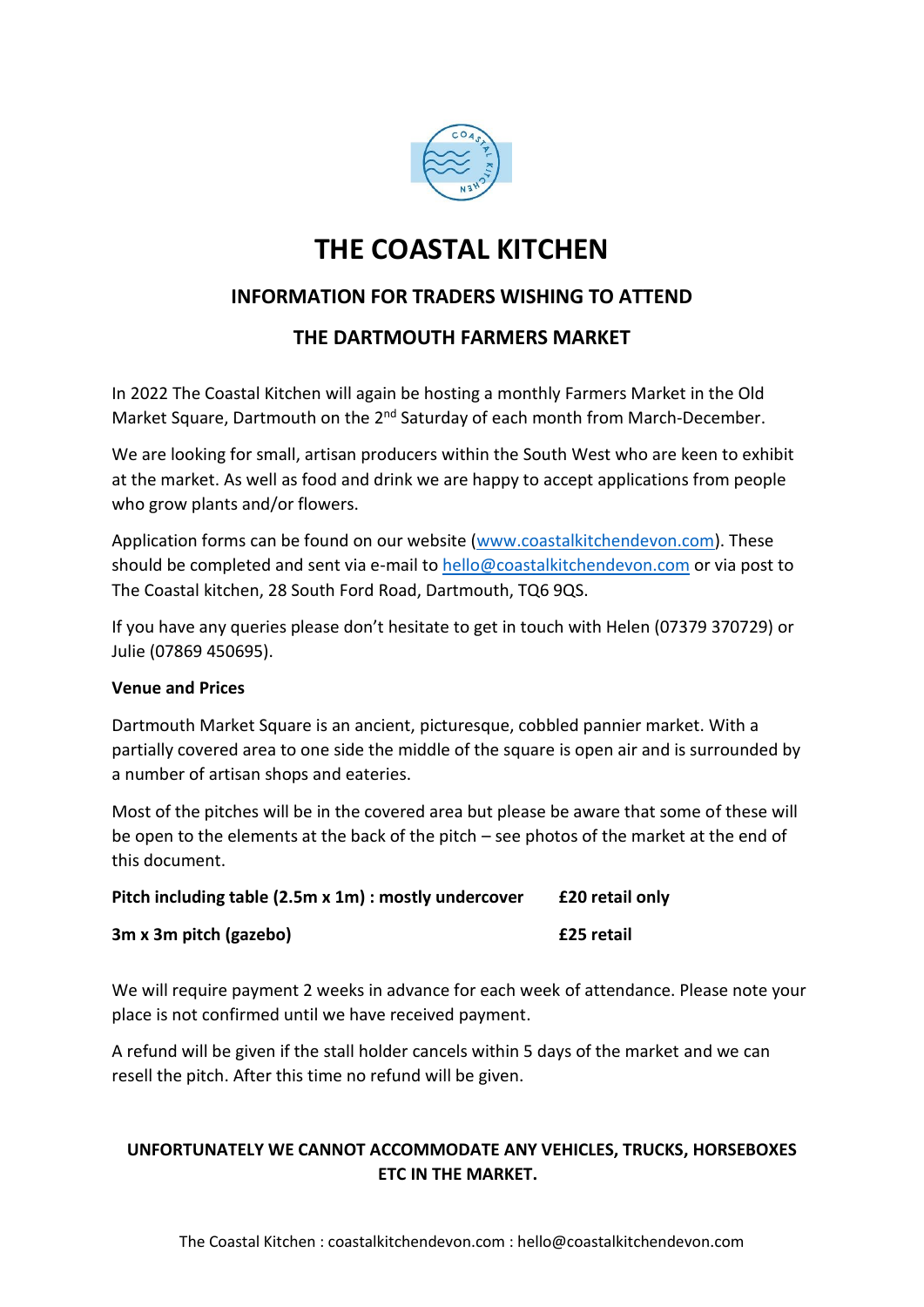

# **THE COASTAL KITCHEN**

## **INFORMATION FOR TRADERS WISHING TO ATTEND**

## **THE DARTMOUTH FARMERS MARKET**

In 2022 The Coastal Kitchen will again be hosting a monthly Farmers Market in the Old Market Square, Dartmouth on the 2<sup>nd</sup> Saturday of each month from March-December.

We are looking for small, artisan producers within the South West who are keen to exhibit at the market. As well as food and drink we are happy to accept applications from people who grow plants and/or flowers.

Application forms can be found on our website [\(www.coastalkitchendevon.com\)](http://www.coastalkitchendevon.com/). These should be completed and sent via e-mail to [hello@coastalkitchendevon.com](mailto:hello@coastalkitchendevon.com) or via post to The Coastal kitchen, 28 South Ford Road, Dartmouth, TQ6 9QS.

If you have any queries please don't hesitate to get in touch with Helen (07379 370729) or Julie (07869 450695).

#### **Venue and Prices**

Dartmouth Market Square is an ancient, picturesque, cobbled pannier market. With a partially covered area to one side the middle of the square is open air and is surrounded by a number of artisan shops and eateries.

Most of the pitches will be in the covered area but please be aware that some of these will be open to the elements at the back of the pitch – see photos of the market at the end of this document.

**Pitch including table (2.5m x 1m) : mostly undercover £20 retail only**

**3m x 3m pitch (gazebo) £25 retail** 

We will require payment 2 weeks in advance for each week of attendance. Please note your place is not confirmed until we have received payment.

A refund will be given if the stall holder cancels within 5 days of the market and we can resell the pitch. After this time no refund will be given.

### **UNFORTUNATELY WE CANNOT ACCOMMODATE ANY VEHICLES, TRUCKS, HORSEBOXES ETC IN THE MARKET.**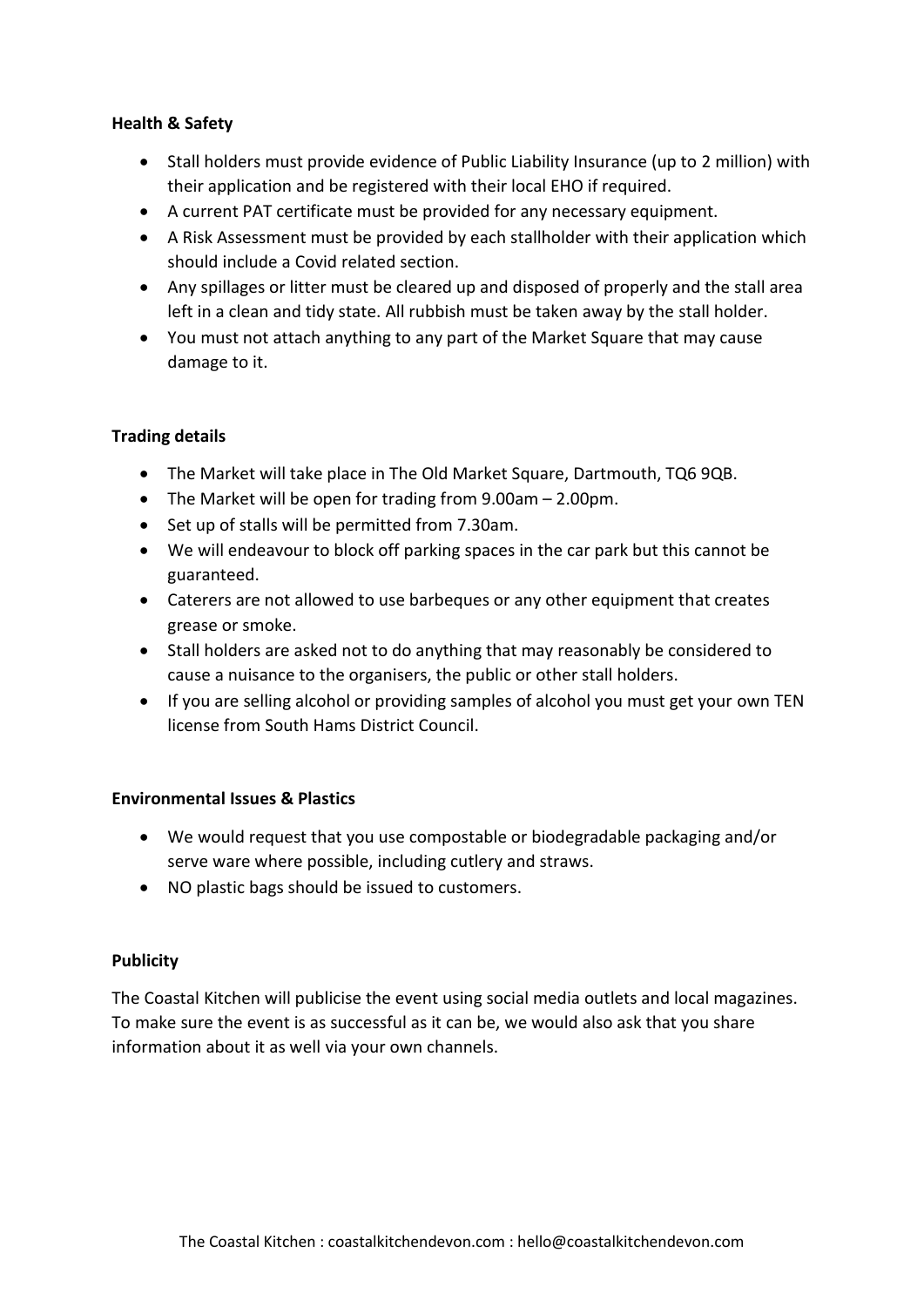#### **Health & Safety**

- Stall holders must provide evidence of Public Liability Insurance (up to 2 million) with their application and be registered with their local EHO if required.
- A current PAT certificate must be provided for any necessary equipment.
- A Risk Assessment must be provided by each stallholder with their application which should include a Covid related section.
- Any spillages or litter must be cleared up and disposed of properly and the stall area left in a clean and tidy state. All rubbish must be taken away by the stall holder.
- You must not attach anything to any part of the Market Square that may cause damage to it.

#### **Trading details**

- The Market will take place in The Old Market Square, Dartmouth, TQ6 9QB.
- The Market will be open for trading from 9.00am 2.00pm.
- Set up of stalls will be permitted from 7.30am.
- We will endeavour to block off parking spaces in the car park but this cannot be guaranteed.
- Caterers are not allowed to use barbeques or any other equipment that creates grease or smoke.
- Stall holders are asked not to do anything that may reasonably be considered to cause a nuisance to the organisers, the public or other stall holders.
- If you are selling alcohol or providing samples of alcohol you must get your own TEN license from South Hams District Council.

#### **Environmental Issues & Plastics**

- We would request that you use compostable or biodegradable packaging and/or serve ware where possible, including cutlery and straws.
- NO plastic bags should be issued to customers.

#### **Publicity**

The Coastal Kitchen will publicise the event using social media outlets and local magazines. To make sure the event is as successful as it can be, we would also ask that you share information about it as well via your own channels.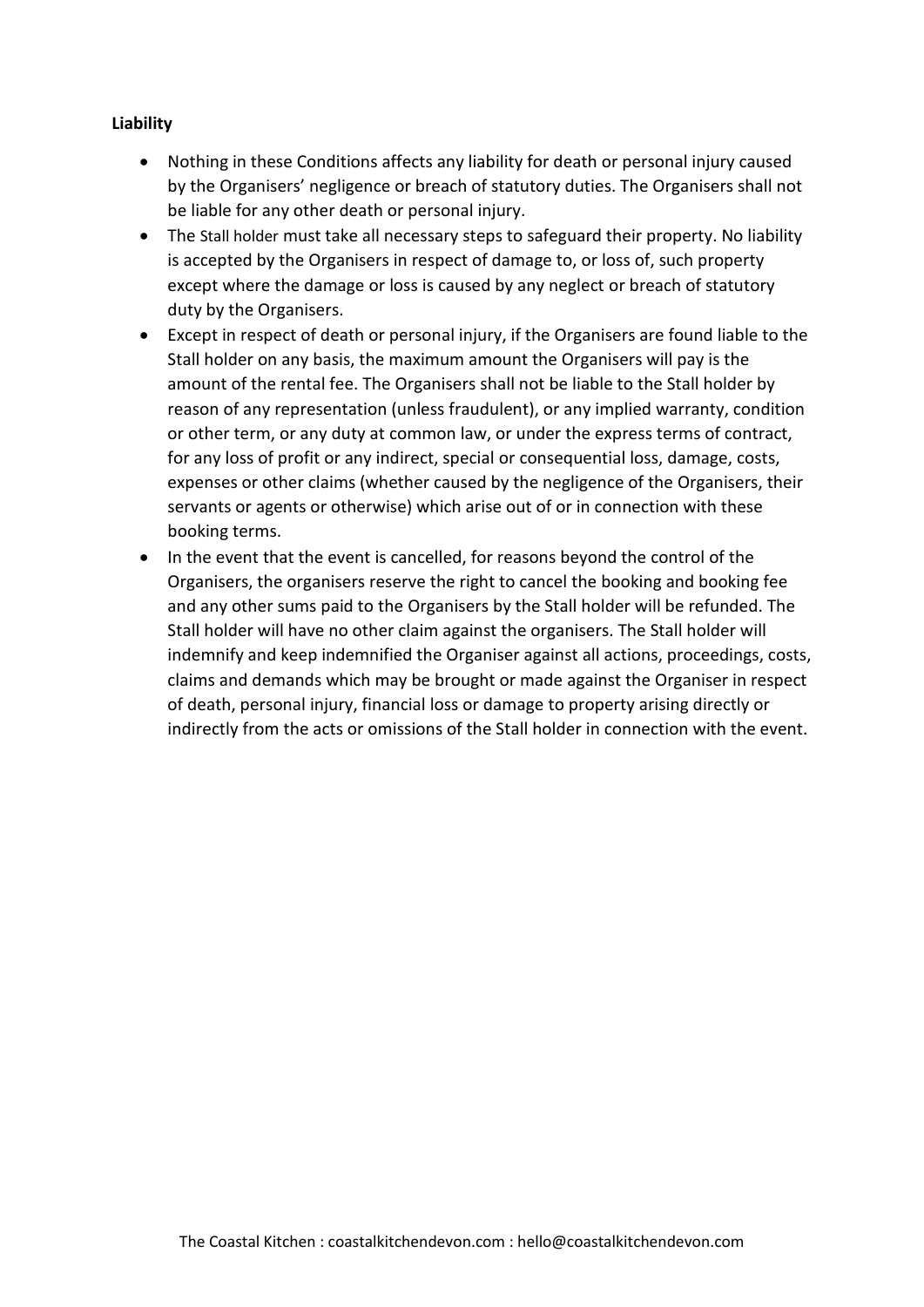#### **Liability**

- Nothing in these Conditions affects any liability for death or personal injury caused by the Organisers' negligence or breach of statutory duties. The Organisers shall not be liable for any other death or personal injury.
- The Stall holder must take all necessary steps to safeguard their property. No liability is accepted by the Organisers in respect of damage to, or loss of, such property except where the damage or loss is caused by any neglect or breach of statutory duty by the Organisers.
- Except in respect of death or personal injury, if the Organisers are found liable to the Stall holder on any basis, the maximum amount the Organisers will pay is the amount of the rental fee. The Organisers shall not be liable to the Stall holder by reason of any representation (unless fraudulent), or any implied warranty, condition or other term, or any duty at common law, or under the express terms of contract, for any loss of profit or any indirect, special or consequential loss, damage, costs, expenses or other claims (whether caused by the negligence of the Organisers, their servants or agents or otherwise) which arise out of or in connection with these booking terms.
- In the event that the event is cancelled, for reasons beyond the control of the Organisers, the organisers reserve the right to cancel the booking and booking fee and any other sums paid to the Organisers by the Stall holder will be refunded. The Stall holder will have no other claim against the organisers. The Stall holder will indemnify and keep indemnified the Organiser against all actions, proceedings, costs, claims and demands which may be brought or made against the Organiser in respect of death, personal injury, financial loss or damage to property arising directly or indirectly from the acts or omissions of the Stall holder in connection with the event.